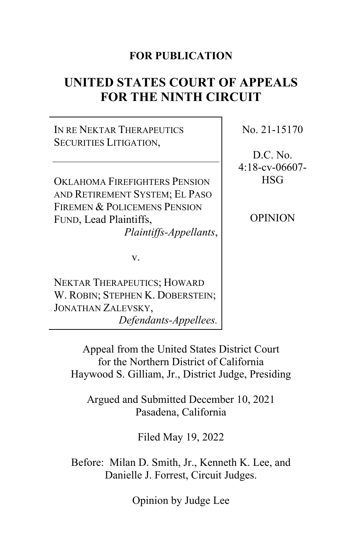### **FOR PUBLICATION**

# **UNITED STATES COURT OF APPEALS FOR THE NINTH CIRCUIT**

IN RE NEKTAR THERAPEUTICS SECURITIES LITIGATION,

OKLAHOMA FIREFIGHTERS PENSION AND RETIREMENT SYSTEM; EL PASO FIREMEN & POLICEMENS PENSION FUND, Lead Plaintiffs, *Plaintiffs-Appellants*,

v.

NEKTAR THERAPEUTICS; HOWARD W. ROBIN; STEPHEN K. DOBERSTEIN; JONATHAN ZALEVSKY, *Defendants-Appellees.* No. 21-15170

D.C. No. 4:18-cv-06607- **HSG** 

OPINION

Appeal from the United States District Court for the Northern District of California Haywood S. Gilliam, Jr., District Judge, Presiding

Argued and Submitted December 10, 2021 Pasadena, California

Filed May 19, 2022

Before: Milan D. Smith, Jr., Kenneth K. Lee, and Danielle J. Forrest, Circuit Judges.

Opinion by Judge Lee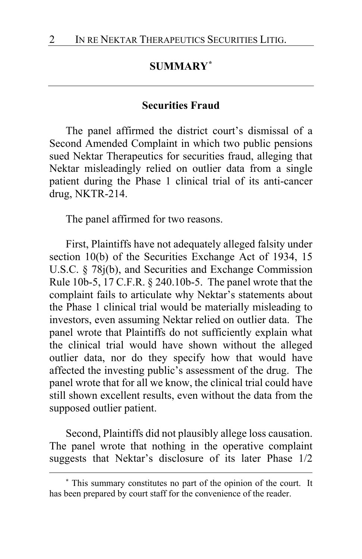# **SUMMARY[\\*](#page-1-0)**

#### **Securities Fraud**

The panel affirmed the district court's dismissal of a Second Amended Complaint in which two public pensions sued Nektar Therapeutics for securities fraud, alleging that Nektar misleadingly relied on outlier data from a single patient during the Phase 1 clinical trial of its anti-cancer drug, NKTR-214.

The panel affirmed for two reasons.

First, Plaintiffs have not adequately alleged falsity under section 10(b) of the Securities Exchange Act of 1934, 15 U.S.C. § 78j(b), and Securities and Exchange Commission Rule 10b-5, 17 C.F.R. § 240.10b-5. The panel wrote that the complaint fails to articulate why Nektar's statements about the Phase 1 clinical trial would be materially misleading to investors, even assuming Nektar relied on outlier data. The panel wrote that Plaintiffs do not sufficiently explain what the clinical trial would have shown without the alleged outlier data, nor do they specify how that would have affected the investing public's assessment of the drug. The panel wrote that for all we know, the clinical trial could have still shown excellent results, even without the data from the supposed outlier patient.

Second, Plaintiffs did not plausibly allege loss causation. The panel wrote that nothing in the operative complaint suggests that Nektar's disclosure of its later Phase 1/2

<span id="page-1-0"></span>**<sup>\*</sup>** This summary constitutes no part of the opinion of the court. It has been prepared by court staff for the convenience of the reader.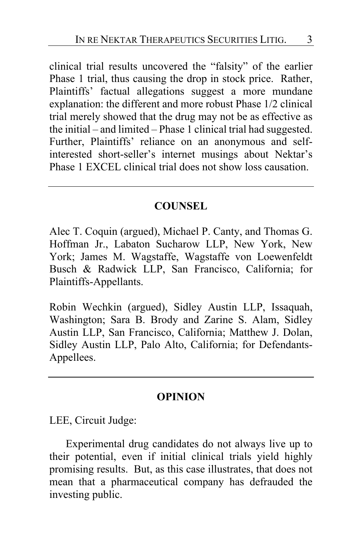clinical trial results uncovered the "falsity" of the earlier Phase 1 trial, thus causing the drop in stock price. Rather, Plaintiffs' factual allegations suggest a more mundane explanation: the different and more robust Phase 1/2 clinical trial merely showed that the drug may not be as effective as the initial – and limited – Phase 1 clinical trial had suggested. Further, Plaintiffs' reliance on an anonymous and selfinterested short-seller's internet musings about Nektar's Phase 1 EXCEL clinical trial does not show loss causation.

### **COUNSEL**

Alec T. Coquin (argued), Michael P. Canty, and Thomas G. Hoffman Jr., Labaton Sucharow LLP, New York, New York; James M. Wagstaffe, Wagstaffe von Loewenfeldt Busch & Radwick LLP, San Francisco, California; for Plaintiffs-Appellants.

Robin Wechkin (argued), Sidley Austin LLP, Issaquah, Washington; Sara B. Brody and Zarine S. Alam, Sidley Austin LLP, San Francisco, California; Matthew J. Dolan, Sidley Austin LLP, Palo Alto, California; for Defendants-Appellees.

#### **OPINION**

LEE, Circuit Judge:

Experimental drug candidates do not always live up to their potential, even if initial clinical trials yield highly promising results. But, as this case illustrates, that does not mean that a pharmaceutical company has defrauded the investing public.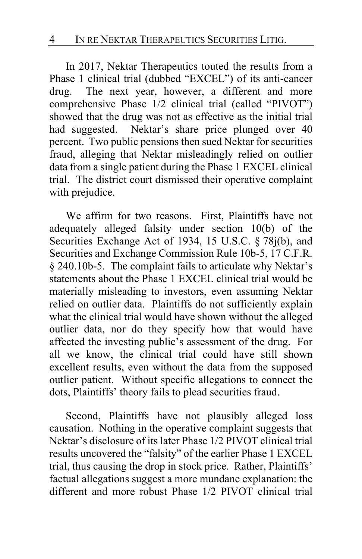In 2017, Nektar Therapeutics touted the results from a Phase 1 clinical trial (dubbed "EXCEL") of its anti-cancer drug. The next year, however, a different and more comprehensive Phase 1/2 clinical trial (called "PIVOT") showed that the drug was not as effective as the initial trial had suggested. Nektar's share price plunged over 40 percent. Two public pensions then sued Nektar for securities fraud, alleging that Nektar misleadingly relied on outlier data from a single patient during the Phase 1 EXCEL clinical trial. The district court dismissed their operative complaint with prejudice.

We affirm for two reasons. First, Plaintiffs have not adequately alleged falsity under section 10(b) of the Securities Exchange Act of 1934, 15 U.S.C. § 78j(b), and Securities and Exchange Commission Rule 10b-5, 17 C.F.R. § 240.10b-5. The complaint fails to articulate why Nektar's statements about the Phase 1 EXCEL clinical trial would be materially misleading to investors, even assuming Nektar relied on outlier data. Plaintiffs do not sufficiently explain what the clinical trial would have shown without the alleged outlier data, nor do they specify how that would have affected the investing public's assessment of the drug. For all we know, the clinical trial could have still shown excellent results, even without the data from the supposed outlier patient. Without specific allegations to connect the dots, Plaintiffs' theory fails to plead securities fraud.

Second, Plaintiffs have not plausibly alleged loss causation. Nothing in the operative complaint suggests that Nektar's disclosure of its later Phase 1/2 PIVOT clinical trial results uncovered the "falsity" of the earlier Phase 1 EXCEL trial, thus causing the drop in stock price. Rather, Plaintiffs' factual allegations suggest a more mundane explanation: the different and more robust Phase 1/2 PIVOT clinical trial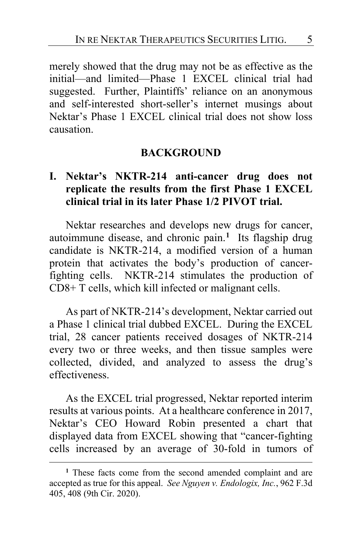merely showed that the drug may not be as effective as the initial—and limited—Phase 1 EXCEL clinical trial had suggested. Further, Plaintiffs' reliance on an anonymous and self-interested short-seller's internet musings about Nektar's Phase 1 EXCEL clinical trial does not show loss causation.

#### **BACKGROUND**

### **I. Nektar's NKTR-214 anti-cancer drug does not replicate the results from the first Phase 1 EXCEL clinical trial in its later Phase 1/2 PIVOT trial.**

Nektar researches and develops new drugs for cancer, autoimmune disease, and chronic pain.**[1](#page-4-0)** Its flagship drug candidate is NKTR-214, a modified version of a human protein that activates the body's production of cancerfighting cells. NKTR-214 stimulates the production of CD8+ T cells, which kill infected or malignant cells.

As part of NKTR-214's development, Nektar carried out a Phase 1 clinical trial dubbed EXCEL. During the EXCEL trial, 28 cancer patients received dosages of NKTR-214 every two or three weeks, and then tissue samples were collected, divided, and analyzed to assess the drug's effectiveness.

As the EXCEL trial progressed, Nektar reported interim results at various points. At a healthcare conference in 2017, Nektar's CEO Howard Robin presented a chart that displayed data from EXCEL showing that "cancer-fighting cells increased by an average of 30-fold in tumors of

<span id="page-4-0"></span>**<sup>1</sup>** These facts come from the second amended complaint and are accepted as true for this appeal. *See Nguyen v. Endologix, Inc.*, 962 F.3d 405, 408 (9th Cir. 2020).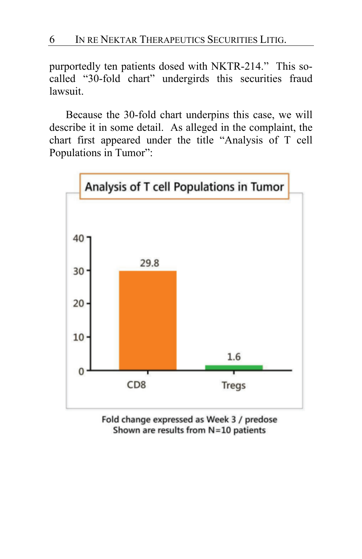purportedly ten patients dosed with NKTR-214." This socalled "30-fold chart" undergirds this securities fraud lawsuit.

Because the 30-fold chart underpins this case, we will describe it in some detail. As alleged in the complaint, the chart first appeared under the title "Analysis of T cell Populations in Tumor":



Fold change expressed as Week 3 / predose Shown are results from N=10 patients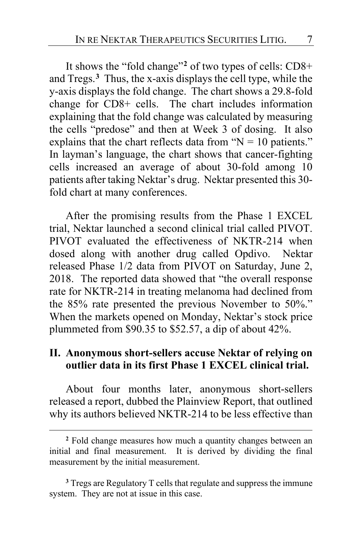It shows the "fold change"**[2](#page-6-0)** of two types of cells: CD8+ and Tregs.**[3](#page-6-1)** Thus, the x-axis displays the cell type, while the y-axis displays the fold change.The chart shows a 29.8-fold change for CD8+ cells.The chart includes information explaining that the fold change was calculated by measuring the cells "predose" and then at Week 3 of dosing. It also explains that the chart reflects data from " $N = 10$  patients." In layman's language, the chart shows that cancer-fighting cells increased an average of about 30-fold among 10 patients after taking Nektar's drug. Nektar presented this 30 fold chart at many conferences.

After the promising results from the Phase 1 EXCEL trial, Nektar launched a second clinical trial called PIVOT. PIVOT evaluated the effectiveness of NKTR-214 when dosed along with another drug called Opdivo. Nektar released Phase 1/2 data from PIVOT on Saturday, June 2, 2018. The reported data showed that "the overall response rate for NKTR-214 in treating melanoma had declined from the 85% rate presented the previous November to 50%." When the markets opened on Monday, Nektar's stock price plummeted from \$90.35 to \$52.57, a dip of about 42%.

### **II. Anonymous short-sellers accuse Nektar of relying on outlier data in its first Phase 1 EXCEL clinical trial.**

About four months later, anonymous short-sellers released a report, dubbed the Plainview Report, that outlined why its authors believed NKTR-214 to be less effective than

<span id="page-6-0"></span>**<sup>2</sup>** Fold change measures how much a quantity changes between an initial and final measurement. It is derived by dividing the final measurement by the initial measurement.

<span id="page-6-1"></span>**<sup>3</sup>** Tregs are Regulatory T cells that regulate and suppress the immune system. They are not at issue in this case.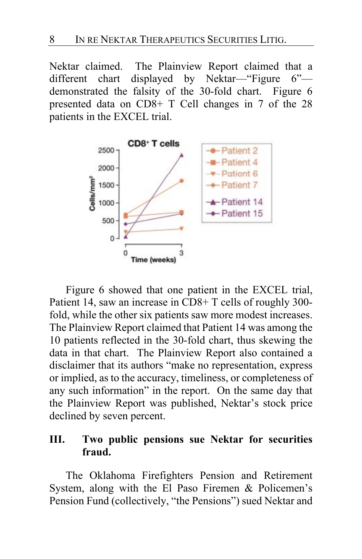Nektar claimed. The Plainview Report claimed that a different chart displayed by Nektar—"Figure 6" demonstrated the falsity of the 30-fold chart. Figure 6 presented data on CD8+ T Cell changes in 7 of the 28 patients in the EXCEL trial.



Figure 6 showed that one patient in the EXCEL trial, Patient 14, saw an increase in CD8+ T cells of roughly 300 fold, while the other six patients saw more modest increases. The Plainview Report claimed that Patient 14 was among the 10 patients reflected in the 30-fold chart, thus skewing the data in that chart. The Plainview Report also contained a disclaimer that its authors "make no representation, express or implied, as to the accuracy, timeliness, or completeness of any such information" in the report. On the same day that the Plainview Report was published, Nektar's stock price declined by seven percent.

### **III. Two public pensions sue Nektar for securities fraud.**

The Oklahoma Firefighters Pension and Retirement System, along with the El Paso Firemen & Policemen's Pension Fund (collectively, "the Pensions") sued Nektar and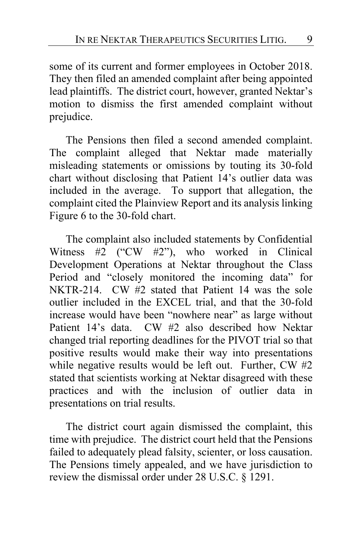some of its current and former employees in October 2018. They then filed an amended complaint after being appointed lead plaintiffs. The district court, however, granted Nektar's motion to dismiss the first amended complaint without prejudice.

The Pensions then filed a second amended complaint. The complaint alleged that Nektar made materially misleading statements or omissions by touting its 30-fold chart without disclosing that Patient 14's outlier data was included in the average. To support that allegation, the complaint cited the Plainview Report and its analysis linking Figure 6 to the 30-fold chart.

The complaint also included statements by Confidential Witness #2 ("CW #2"), who worked in Clinical Development Operations at Nektar throughout the Class Period and "closely monitored the incoming data" for NKTR-214. CW #2 stated that Patient 14 was the sole outlier included in the EXCEL trial, and that the 30-fold increase would have been "nowhere near" as large without Patient 14's data. CW #2 also described how Nektar changed trial reporting deadlines for the PIVOT trial so that positive results would make their way into presentations while negative results would be left out. Further, CW #2 stated that scientists working at Nektar disagreed with these practices and with the inclusion of outlier data in presentations on trial results.

The district court again dismissed the complaint, this time with prejudice. The district court held that the Pensions failed to adequately plead falsity, scienter, or loss causation. The Pensions timely appealed, and we have jurisdiction to review the dismissal order under 28 U.S.C. § 1291.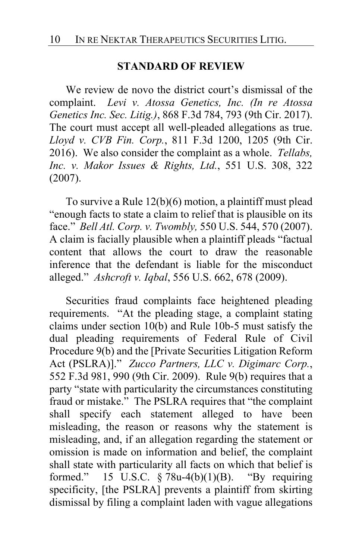#### **STANDARD OF REVIEW**

We review de novo the district court's dismissal of the complaint. *Levi v. Atossa Genetics, Inc. (In re Atossa Genetics Inc. Sec. Litig.)*, 868 F.3d 784, 793 (9th Cir. 2017). The court must accept all well-pleaded allegations as true. *Lloyd v. CVB Fin. Corp.*, 811 F.3d 1200, 1205 (9th Cir. 2016). We also consider the complaint as a whole. *Tellabs, Inc. v. Makor Issues & Rights, Ltd.*, 551 U.S. 308, 322 (2007).

To survive a Rule 12(b)(6) motion, a plaintiff must plead "enough facts to state a claim to relief that is plausible on its face." *Bell Atl. Corp. v. Twombly,* 550 U.S. 544, 570 (2007). A claim is facially plausible when a plaintiff pleads "factual content that allows the court to draw the reasonable inference that the defendant is liable for the misconduct alleged." *Ashcroft v. Iqbal*, 556 U.S. 662, 678 (2009).

Securities fraud complaints face heightened pleading requirements. "At the pleading stage, a complaint stating claims under section 10(b) and Rule 10b-5 must satisfy the dual pleading requirements of Federal Rule of Civil Procedure 9(b) and the [Private Securities Litigation Reform Act (PSLRA)]." *Zucco Partners, LLC v. Digimarc Corp.*, 552 F.3d 981, 990 (9th Cir. 2009). Rule 9(b) requires that a party "state with particularity the circumstances constituting fraud or mistake." The PSLRA requires that "the complaint shall specify each statement alleged to have been misleading, the reason or reasons why the statement is misleading, and, if an allegation regarding the statement or omission is made on information and belief, the complaint shall state with particularity all facts on which that belief is formed." 15 U.S.C.  $\S$  78u-4(b)(1)(B). "By requiring specificity, [the PSLRA] prevents a plaintiff from skirting dismissal by filing a complaint laden with vague allegations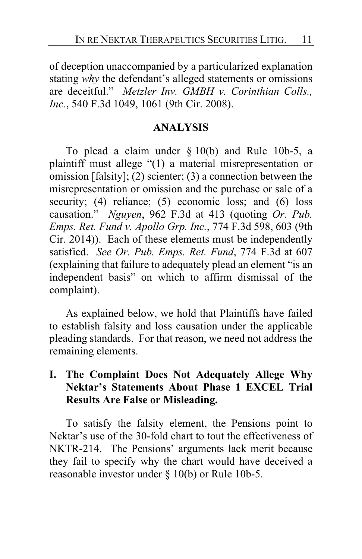of deception unaccompanied by a particularized explanation stating *why* the defendant's alleged statements or omissions are deceitful." *Metzler Inv. GMBH v. Corinthian Colls., Inc.*, 540 F.3d 1049, 1061 (9th Cir. 2008).

### **ANALYSIS**

To plead a claim under § 10(b) and Rule 10b-5, a plaintiff must allege "(1) a material misrepresentation or omission [falsity]; (2) scienter; (3) a connection between the misrepresentation or omission and the purchase or sale of a security; (4) reliance; (5) economic loss; and (6) loss causation." *Nguyen*, 962 F.3d at 413 (quoting *Or. Pub. Emps. Ret. Fund v. Apollo Grp. Inc.*, 774 F.3d 598, 603 (9th Cir. 2014)). Each of these elements must be independently satisfied. *See Or. Pub. Emps. Ret. Fund*, 774 F.3d at 607 (explaining that failure to adequately plead an element "is an independent basis" on which to affirm dismissal of the complaint).

As explained below, we hold that Plaintiffs have failed to establish falsity and loss causation under the applicable pleading standards. For that reason, we need not address the remaining elements.

# **I. The Complaint Does Not Adequately Allege Why Nektar's Statements About Phase 1 EXCEL Trial Results Are False or Misleading.**

To satisfy the falsity element, the Pensions point to Nektar's use of the 30-fold chart to tout the effectiveness of NKTR-214. The Pensions' arguments lack merit because they fail to specify why the chart would have deceived a reasonable investor under § 10(b) or Rule 10b-5.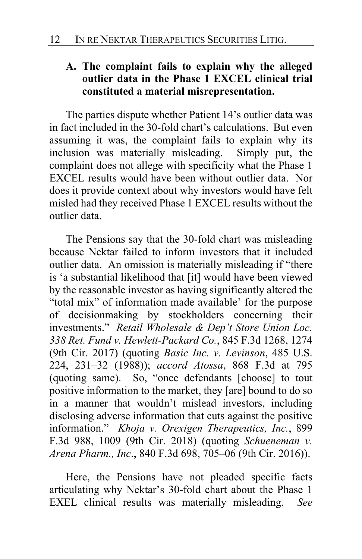# **A. The complaint fails to explain why the alleged outlier data in the Phase 1 EXCEL clinical trial constituted a material misrepresentation.**

The parties dispute whether Patient 14's outlier data was in fact included in the 30-fold chart's calculations. But even assuming it was, the complaint fails to explain why its inclusion was materially misleading. Simply put, the complaint does not allege with specificity what the Phase 1 EXCEL results would have been without outlier data. Nor does it provide context about why investors would have felt misled had they received Phase 1 EXCEL results without the outlier data.

The Pensions say that the 30-fold chart was misleading because Nektar failed to inform investors that it included outlier data. An omission is materially misleading if "there is 'a substantial likelihood that [it] would have been viewed by the reasonable investor as having significantly altered the "total mix" of information made available' for the purpose of decisionmaking by stockholders concerning their investments." *Retail Wholesale & Dep't Store Union Loc. 338 Ret. Fund v. Hewlett-Packard Co.*, 845 F.3d 1268, 1274 (9th Cir. 2017) (quoting *Basic Inc. v. Levinson*, 485 U.S. 224, 231–32 (1988)); *accord Atossa*, 868 F.3d at 795 (quoting same). So, "once defendants [choose] to tout positive information to the market, they [are] bound to do so in a manner that wouldn't mislead investors, including disclosing adverse information that cuts against the positive information." *Khoja v. Orexigen Therapeutics, Inc.*, 899 F.3d 988, 1009 (9th Cir. 2018) (quoting *Schueneman v. Arena Pharm., Inc*., 840 F.3d 698, 705–06 (9th Cir. 2016)).

Here, the Pensions have not pleaded specific facts articulating why Nektar's 30-fold chart about the Phase 1 EXEL clinical results was materially misleading. *See*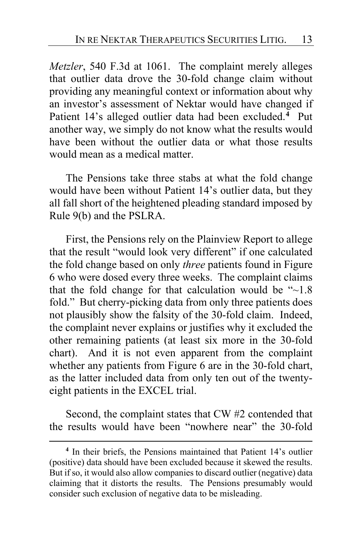*Metzler*, 540 F.3d at 1061. The complaint merely alleges that outlier data drove the 30-fold change claim without providing any meaningful context or information about why an investor's assessment of Nektar would have changed if Patient 14's alleged outlier data had been excluded.**[4](#page-12-0)** Put another way, we simply do not know what the results would have been without the outlier data or what those results would mean as a medical matter.

The Pensions take three stabs at what the fold change would have been without Patient 14's outlier data, but they all fall short of the heightened pleading standard imposed by Rule 9(b) and the PSLRA.

First, the Pensions rely on the Plainview Report to allege that the result "would look very different" if one calculated the fold change based on only *three* patients found in Figure 6 who were dosed every three weeks. The complaint claims that the fold change for that calculation would be  $-1.8$ fold." But cherry-picking data from only three patients does not plausibly show the falsity of the 30-fold claim. Indeed, the complaint never explains or justifies why it excluded the other remaining patients (at least six more in the 30-fold chart). And it is not even apparent from the complaint whether any patients from Figure 6 are in the 30-fold chart, as the latter included data from only ten out of the twentyeight patients in the EXCEL trial.

Second, the complaint states that CW #2 contended that the results would have been "nowhere near" the 30-fold

<span id="page-12-0"></span>**<sup>4</sup>** In their briefs, the Pensions maintained that Patient 14's outlier (positive) data should have been excluded because it skewed the results. But if so, it would also allow companies to discard outlier (negative) data claiming that it distorts the results. The Pensions presumably would consider such exclusion of negative data to be misleading.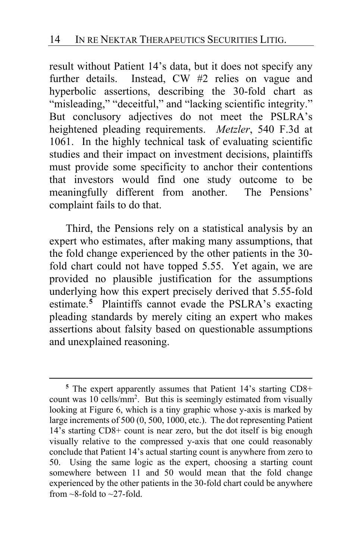result without Patient 14's data, but it does not specify any further details. Instead, CW #2 relies on vague and hyperbolic assertions, describing the 30-fold chart as "misleading," "deceitful," and "lacking scientific integrity." But conclusory adjectives do not meet the PSLRA's heightened pleading requirements. *Metzler*, 540 F.3d at 1061. In the highly technical task of evaluating scientific studies and their impact on investment decisions, plaintiffs must provide some specificity to anchor their contentions that investors would find one study outcome to be meaningfully different from another. The Pensions' complaint fails to do that.

Third, the Pensions rely on a statistical analysis by an expert who estimates, after making many assumptions, that the fold change experienced by the other patients in the 30 fold chart could not have topped 5.55. Yet again, we are provided no plausible justification for the assumptions underlying how this expert precisely derived that 5.55-fold estimate.**[5](#page-13-0)** Plaintiffs cannot evade the PSLRA's exacting pleading standards by merely citing an expert who makes assertions about falsity based on questionable assumptions and unexplained reasoning.

<span id="page-13-0"></span>**<sup>5</sup>** The expert apparently assumes that Patient 14's starting CD8+ count was 10 cells/mm<sup>2</sup>. But this is seemingly estimated from visually looking at Figure 6, which is a tiny graphic whose y-axis is marked by large increments of 500 (0, 500, 1000, etc.). The dot representing Patient 14's starting CD8+ count is near zero, but the dot itself is big enough visually relative to the compressed y-axis that one could reasonably conclude that Patient 14's actual starting count is anywhere from zero to 50. Using the same logic as the expert, choosing a starting count somewhere between 11 and 50 would mean that the fold change experienced by the other patients in the 30-fold chart could be anywhere from  $\sim$ 8-fold to  $\sim$ 27-fold.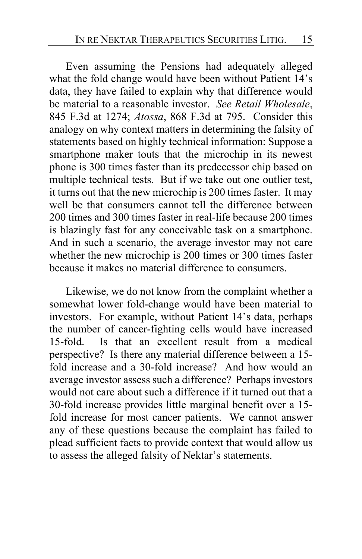Even assuming the Pensions had adequately alleged what the fold change would have been without Patient 14's data, they have failed to explain why that difference would be material to a reasonable investor. *See Retail Wholesale*, 845 F.3d at 1274; *Atossa*, 868 F.3d at 795. Consider this analogy on why context matters in determining the falsity of statements based on highly technical information: Suppose a smartphone maker touts that the microchip in its newest phone is 300 times faster than its predecessor chip based on multiple technical tests. But if we take out one outlier test, it turns out that the new microchip is 200 times faster. It may well be that consumers cannot tell the difference between 200 times and 300 times faster in real-life because 200 times is blazingly fast for any conceivable task on a smartphone. And in such a scenario, the average investor may not care whether the new microchip is 200 times or 300 times faster because it makes no material difference to consumers.

Likewise, we do not know from the complaint whether a somewhat lower fold-change would have been material to investors. For example, without Patient 14's data, perhaps the number of cancer-fighting cells would have increased 15-fold. Is that an excellent result from a medical perspective? Is there any material difference between a 15 fold increase and a 30-fold increase? And how would an average investor assess such a difference? Perhaps investors would not care about such a difference if it turned out that a 30-fold increase provides little marginal benefit over a 15 fold increase for most cancer patients. We cannot answer any of these questions because the complaint has failed to plead sufficient facts to provide context that would allow us to assess the alleged falsity of Nektar's statements.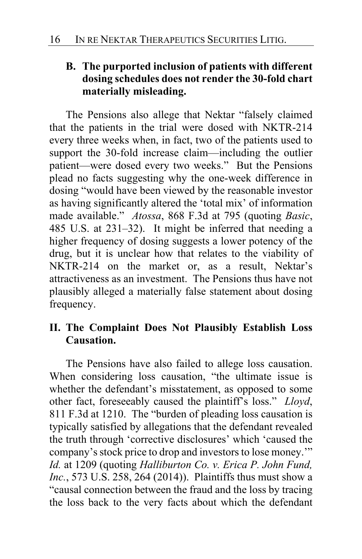# **B. The purported inclusion of patients with different dosing schedules does not render the 30-fold chart materially misleading.**

The Pensions also allege that Nektar "falsely claimed that the patients in the trial were dosed with NKTR-214 every three weeks when, in fact, two of the patients used to support the 30-fold increase claim—including the outlier patient—were dosed every two weeks." But the Pensions plead no facts suggesting why the one-week difference in dosing "would have been viewed by the reasonable investor as having significantly altered the 'total mix' of information made available." *Atossa*, 868 F.3d at 795 (quoting *Basic*, 485 U.S. at 231–32). It might be inferred that needing a higher frequency of dosing suggests a lower potency of the drug, but it is unclear how that relates to the viability of NKTR-214 on the market or, as a result, Nektar's attractiveness as an investment. The Pensions thus have not plausibly alleged a materially false statement about dosing frequency.

# **II. The Complaint Does Not Plausibly Establish Loss Causation.**

The Pensions have also failed to allege loss causation. When considering loss causation, "the ultimate issue is whether the defendant's misstatement, as opposed to some other fact, foreseeably caused the plaintiff's loss." *Lloyd*, 811 F.3d at 1210. The "burden of pleading loss causation is typically satisfied by allegations that the defendant revealed the truth through 'corrective disclosures' which 'caused the company's stock price to drop and investors to lose money.'" *Id.* at 1209 (quoting *Halliburton Co. v. Erica P. John Fund, Inc.*, 573 U.S. 258, 264 (2014)). Plaintiffs thus must show a "causal connection between the fraud and the loss by tracing the loss back to the very facts about which the defendant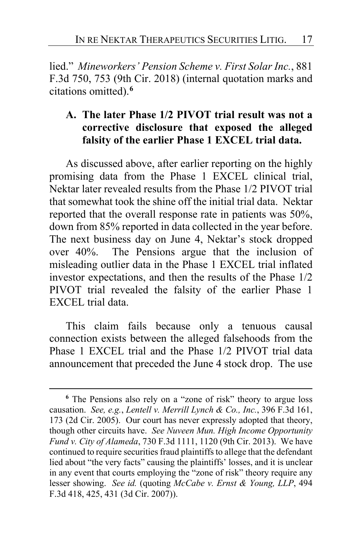lied." *Mineworkers' Pension Scheme v. First Solar Inc.*, 881 F.3d 750, 753 (9th Cir. 2018) (internal quotation marks and citations omitted).**[6](#page-16-0)**

# **A. The later Phase 1/2 PIVOT trial result was not a corrective disclosure that exposed the alleged falsity of the earlier Phase 1 EXCEL trial data.**

As discussed above, after earlier reporting on the highly promising data from the Phase 1 EXCEL clinical trial, Nektar later revealed results from the Phase 1/2 PIVOT trial that somewhat took the shine off the initial trial data. Nektar reported that the overall response rate in patients was 50%, down from 85% reported in data collected in the year before. The next business day on June 4, Nektar's stock dropped over 40%. The Pensions argue that the inclusion of misleading outlier data in the Phase 1 EXCEL trial inflated investor expectations, and then the results of the Phase 1/2 PIVOT trial revealed the falsity of the earlier Phase 1 EXCEL trial data.

This claim fails because only a tenuous causal connection exists between the alleged falsehoods from the Phase 1 EXCEL trial and the Phase 1/2 PIVOT trial data announcement that preceded the June 4 stock drop. The use

<span id="page-16-0"></span>**<sup>6</sup>** The Pensions also rely on a "zone of risk" theory to argue loss causation. *See, e.g.*, *Lentell v. Merrill Lynch & Co., Inc.*, 396 F.3d 161, 173 (2d Cir. 2005). Our court has never expressly adopted that theory, though other circuits have. *See Nuveen Mun. High Income Opportunity Fund v. City of Alameda*, 730 F.3d 1111, 1120 (9th Cir. 2013). We have continued to require securities fraud plaintiffs to allege that the defendant lied about "the very facts" causing the plaintiffs' losses, and it is unclear in any event that courts employing the "zone of risk" theory require any lesser showing. *See id.* (quoting *McCabe v. Ernst & Young, LLP*, 494 F.3d 418, 425, 431 (3d Cir. 2007)).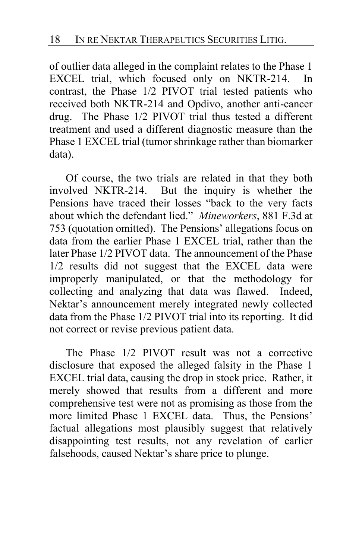of outlier data alleged in the complaint relates to the Phase 1 EXCEL trial, which focused only on NKTR-214. In contrast, the Phase 1/2 PIVOT trial tested patients who received both NKTR-214 and Opdivo, another anti-cancer drug. The Phase 1/2 PIVOT trial thus tested a different treatment and used a different diagnostic measure than the Phase 1 EXCEL trial (tumor shrinkage rather than biomarker data).

Of course, the two trials are related in that they both involved NKTR-214. But the inquiry is whether the Pensions have traced their losses "back to the very facts about which the defendant lied." *Mineworkers*, 881 F.3d at 753 (quotation omitted). The Pensions' allegations focus on data from the earlier Phase 1 EXCEL trial, rather than the later Phase 1/2 PIVOT data. The announcement of the Phase 1/2 results did not suggest that the EXCEL data were improperly manipulated, or that the methodology for collecting and analyzing that data was flawed. Indeed, Nektar's announcement merely integrated newly collected data from the Phase 1/2 PIVOT trial into its reporting. It did not correct or revise previous patient data.

The Phase 1/2 PIVOT result was not a corrective disclosure that exposed the alleged falsity in the Phase 1 EXCEL trial data, causing the drop in stock price. Rather, it merely showed that results from a different and more comprehensive test were not as promising as those from the more limited Phase 1 EXCEL data. Thus, the Pensions' factual allegations most plausibly suggest that relatively disappointing test results, not any revelation of earlier falsehoods, caused Nektar's share price to plunge.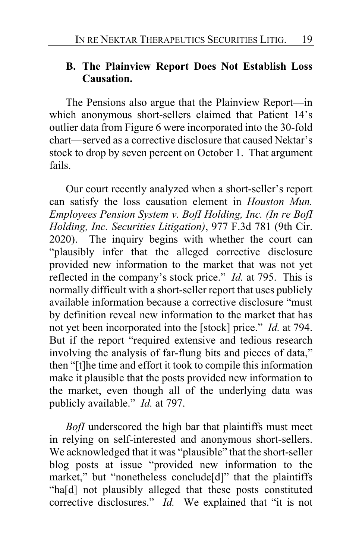#### **B. The Plainview Report Does Not Establish Loss Causation.**

The Pensions also argue that the Plainview Report—in which anonymous short-sellers claimed that Patient 14's outlier data from Figure 6 were incorporated into the 30-fold chart—served as a corrective disclosure that caused Nektar's stock to drop by seven percent on October 1. That argument fails.

Our court recently analyzed when a short-seller's report can satisfy the loss causation element in *Houston Mun. Employees Pension System v. BofI Holding, Inc. (In re BofI Holding, Inc. Securities Litigation)*, 977 F.3d 781 (9th Cir. 2020). The inquiry begins with whether the court can "plausibly infer that the alleged corrective disclosure provided new information to the market that was not yet reflected in the company's stock price." *Id.* at 795. This is normally difficult with a short-seller report that uses publicly available information because a corrective disclosure "must by definition reveal new information to the market that has not yet been incorporated into the [stock] price." *Id.* at 794. But if the report "required extensive and tedious research involving the analysis of far-flung bits and pieces of data," then "[t]he time and effort it took to compile this information make it plausible that the posts provided new information to the market, even though all of the underlying data was publicly available." *Id.* at 797.

*BofI* underscored the high bar that plaintiffs must meet in relying on self-interested and anonymous short-sellers. We acknowledged that it was "plausible" that the short-seller blog posts at issue "provided new information to the market," but "nonetheless conclude[d]" that the plaintiffs "ha[d] not plausibly alleged that these posts constituted corrective disclosures." *Id.* We explained that "it is not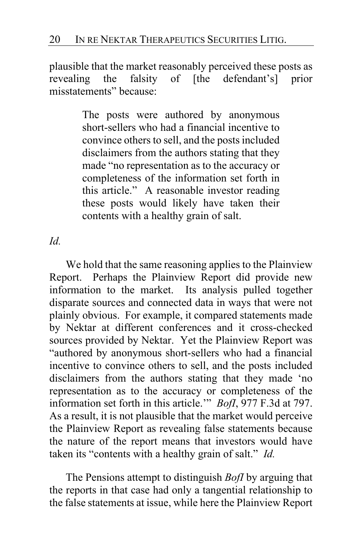plausible that the market reasonably perceived these posts as revealing the falsity of [the defendant's] prior misstatements" because:

> The posts were authored by anonymous short-sellers who had a financial incentive to convince others to sell, and the posts included disclaimers from the authors stating that they made "no representation as to the accuracy or completeness of the information set forth in this article." A reasonable investor reading these posts would likely have taken their contents with a healthy grain of salt.

#### *Id.*

We hold that the same reasoning applies to the Plainview Report. Perhaps the Plainview Report did provide new information to the market. Its analysis pulled together disparate sources and connected data in ways that were not plainly obvious. For example, it compared statements made by Nektar at different conferences and it cross-checked sources provided by Nektar. Yet the Plainview Report was "authored by anonymous short-sellers who had a financial incentive to convince others to sell, and the posts included disclaimers from the authors stating that they made 'no representation as to the accuracy or completeness of the information set forth in this article.'" *BofI*, 977 F.3d at 797. As a result, it is not plausible that the market would perceive the Plainview Report as revealing false statements because the nature of the report means that investors would have taken its "contents with a healthy grain of salt." *Id.*

The Pensions attempt to distinguish *BofI* by arguing that the reports in that case had only a tangential relationship to the false statements at issue, while here the Plainview Report